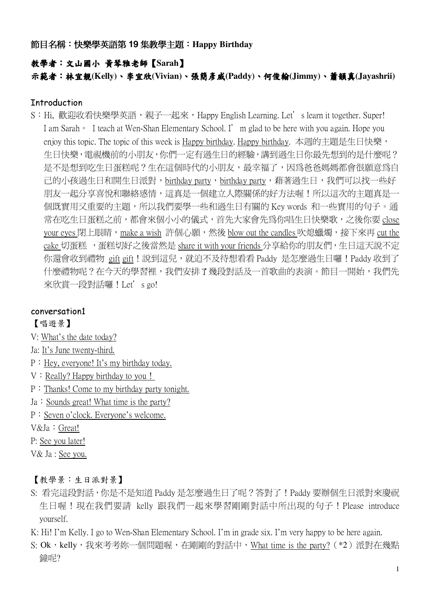節目名稱:快樂學英語第 19 集教學主題:Happy Birthday

### 教學者:文山國小 黃琴雅老師【Sarah】

示範者:林宜靚(Kelly)、李宜欣(Vivian)、張簡彥威(Paddy)、何俊翰(Jimmy)、蕭韻真(Jayashrii)

#### **Introduction**

S: Hi, 歡迎收看快樂學英語,親子一起來, Happy English Learning. Let's learn it together. Super! I am Sarah • I teach at Wen-Shan Elementary School. I' m glad to be here with you again. Hope you enjoy this topic. The topic of this week is Happy birthday. Happy birthday. 本週的主題是生日快樂, 生日快樂,雷視機前的小朋友,你們一定有過生日的經驗,講到過生日你最先想到的是什麼呢? 是不是想到吃生日蛋糕呢?生在這個時代的小朋友,最幸福了,因為爸爸媽媽都會很願意為自 己的小孩過生日和開生日派對,birthday party,birthday party,藉著過生日,我們可以找一些好 朋友一起分享喜悅和聯絡感情,這真是一個建立人際關係的好方法喔!所以這次的主題真是一 個既實用又重要的主題,所以我們要學一些和過生日有關的 Key words 和一些實用的句子。通 常在吃生日蛋糕之前,都會來個小小的儀式,首先大家會先為你唱生日快樂歌,之後你要 close your eyes 閉上眼睛,make a wish 許個心願,然後 blow out the candles 吹熄蠟燭,接下來再 cut the cake 切蛋糕 ,蛋糕切好之後當然是 share it with your friends 分享給你的朋友們,生日這天說不定 你還會收到禮物 gift gift! 說到這兒,就迫不及待想看看 Paddy 是怎麼過生日囉! Paddy 收到了 什麼禮物呢?在今天的學習裡,我們安排了幾段對話及一首歌曲的表演。節目一開始,我們先 來欣賞一段對話囉!Let's go!

#### conversation1

【唱遊景】

- V: What's the date today?
- Ja: It's June twenty-third.
- $P: Hey$ , everyone! It's my birthday today.
- $V : Really?$  Happy birthday to you!
- $P:$  Thanks! Come to my birthday party tonight.
- $Ja:$  Sounds great! What time is the party?
- P: Seven o'clock. Everyone's welcome.
- V&Ja : Great!
- P: See you later!
- V& Ja : See you.

#### 【教學景:生日派對景】

- S: 看完這段對話,你是不是知道 Paddy 是怎麼過生日了呢?答對了!Paddy 要辦個生日派對來慶祝 生日喔!現在我們要請 kelly 跟我們一起來學習剛剛對話中所出現的句子!Please introduce vourself.
- K: Hi! I'm Kelly. I go to Wen-Shan Elementary School. I'm in grade six. I'm very happy to be here again.
- S: Ok,kelly,我來考考妳一個問題喔,在剛剛的對話中,What time is the party? (\*2) 派對在幾點 鐘呢?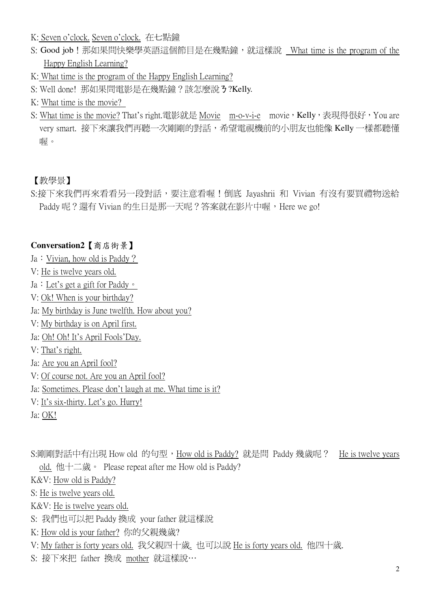- K: Seven o'clock. Seven o'clock. 在七點鐘
- S: Good job ! 那如果問快樂學英語這個節目是在幾點鐘, 就這樣說 What time is the program of the Happy English Learning?
- K: What time is the program of the Happy English Learning?
- S: Well done! 那如果問電影是在幾點鐘?該怎麼說 3?Kelly.
- K: What time is the movie?
- S: What time is the movie? That's right.電影就是 Movie m-o-v-i-e movie, Kelly, 表現得很好, You are very smart. 接下來讓我們再聽一次剛剛的對話,希望電視機前的小朋友也能像 Kelly 一樣都聽懂 喔。

#### 【教學景】

S:接下來我們再來看看另一段對話,要注意看喔!倒底 Jayashrii 和 Vivian 有沒有要買禮物送給 Paddy 呢?還有 Vivian 的生日是那一天呢?答案就在影片中喔, Here we go!

#### Conversation2 【商店街景】

- Ja: Vivian, how old is Paddy?
- V: He is twelve years old.
- Ja : Let's get a gift for Paddy  $\circ$
- V: Ok! When is your birthday?
- Ja: My birthday is June twelfth. How about you?
- V: My birthday is on April first.
- Ja: Oh! Oh! It's April Fools'Day.
- V: That's right.
- Ja: Are you an April fool?
- V: Of course not. Are you an April fool?
- Ja: Sometimes. Please don't laugh at me. What time is it?
- V: It's six-thirty. Let's go. Hurry!
- Ja: OK!

S:剛剛對話中有出現 How old 的句型, How old is Paddy? 就是問 Paddy 幾歲呢? He is twelve years old. 他十二歲。 Please repeat after me How old is Paddy?

K&V: How old is Paddy?

S: He is twelve years old.

K&V: He is twelve years old.

- S: 我們也可以把 Paddy 換成 your father 就這樣說
- K: How old is your father? 你的父親幾歲?
- V: My father is forty years old. 我父親四十歲. 也可以說 He is forty years old. 他四十歲.
- S: 接下來把 father 換成 mother 就這樣說…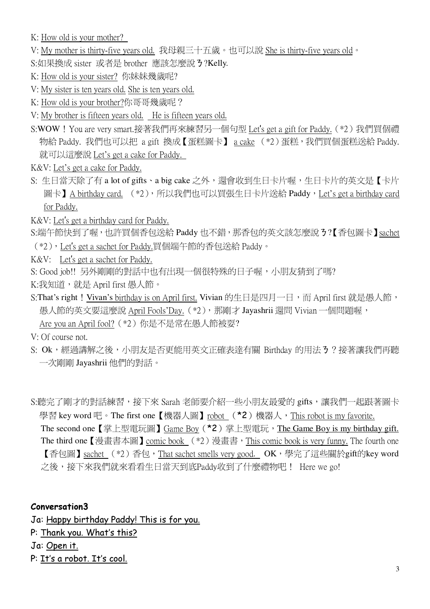K: How old is your mother?

- V: My mother is thirty-five years old. 我母親三十五歲。也可以說 She is thirty-five years old。
- S:如果換成 sister 或者是 brother 應該怎麼說 3?Kelly.
- K: How old is your sister? 你妹妹幾歳呢?
- V: My sister is ten years old. She is ten years old.
- K: How old is your brother?你哥哥幾歲呢?
- V: My brother is fifteen years old. He is fifteen years old.
- S:WOW! You are very smart.接著我們再來練習另一個句型 Let's get a gift for Paddy. (\*2)我們買個禮 物給 Paddy. 我們也可以把 a gift 換成【蛋糕圖卡】 a cake (\*2)蛋糕, 我們買個蛋糕送給 Paddy. 就可以這麼說 Let's get a cake for Paddy.
- K&V: Let's get a cake for Paddy.
- S: 生日當天除了有 a lot of gifts · a big cake 之外,還會收到生日卡片喔,生日卡片的英文是【卡片 圖卡】A birthday card. (\*2), 所以我們也可以買張生日卡片送給 Paddy, Let's get a birthday card for Paddy.
- K&V: Let's get a birthday card for Paddy.
- S:端午節快到了喔,也許買個香包送給 Paddy 也不錯, 那香包的英文該怎麼說 3?【香包圖卡】sachet (\*2), Let's get a sachet for Paddy.買個端午節的香包送給 Paddy。
- K&V: Let's get a sachet for Paddy.
- S: Good job!! 另外剛剛的對話中也有出現一個很特殊的日子喔,小朋友猜到了嗎?
- K:我知道,就是 April first 愚人節。
- S:That's right! Vivan's birthday is on April first. Vivian 的生日是四月一日, 而 April first 就是愚人節, 愚人節的英文要這麼說 April Fools'Day. (\*2), 那剛才 Jayashrii 還問 Vivian 一個問題喔, Are you an April fool? (\*2) 你是不是常在愚人節被耍?

V: Of course not.

- S: Ok,經過講解之後,小朋友是否更能用英文正確表達有關 Birthday 的用法3?接著讓我們再聽 一次剛剛 Jayashrii 他們的對話。
- S:聽完了剛才的對話練習,接下來 Sarah 老師要介紹一些小朋友最愛的 gifts,讓我們一起跟著圖卡 學習 key word 吧。The first one【機器人圖】robot (\*2)機器人, This robot is my favorite. The second one 【掌上型電玩圖】 Game Boy (\*2)掌上型電玩, The Game Boy is my birthday gift. The third one 【漫畫書本圖】 comic book  $(*2)$  漫畫書, This comic book is very funny. The fourth one 【香包圖】sachet (\*2)香包,That sachet smells very good. OK,學完了這些關於gift的key word
	- 之後,接下來我們就來看看生日當天到底Paddy收到了什麼禮物吧! Here we go!

#### **Conversation3**

Ja: Happy birthday Paddy! This is for you. P: Thank you. What's this? Ja: Open it. P: It's a robot. It's cool.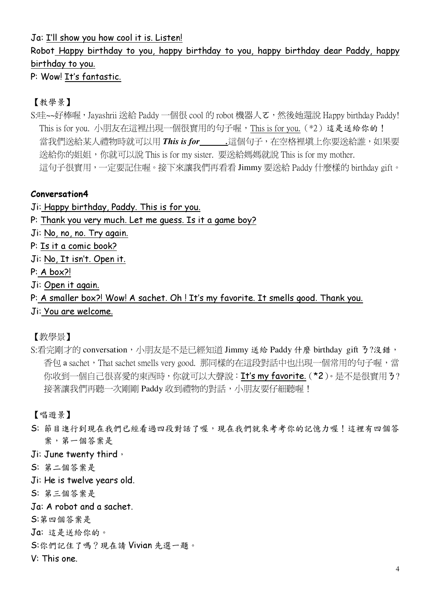Ja: I'll show you how cool it is. Listen!

# Robot Happy birthday to you, happy birthday to you, happy birthday dear Paddy, happy birthday to you.

P: Wow! It's fantastic.

## 【教學景】

S:哇~~好棒喔,Jayashrii 送給 Paddy 一個很 cool 的 robot 機器人て,然後她還說 Happy birthdav Paddy! This is for you. 小朋友在這裡出現一個很實用的句子喔, This is for you. (\*2) 這是送給你的! 當我們送給某人禮物時就可以用 This is for\_\_\_\_\_\_這個句子, 在空格裡填上你要送給誰, 如果要 送給你的姐姐,你就可以說 This is for my sister. 要送給媽媽就說 This is for my mother. 這句子很實用,一定要記住喔。接下來讓我們再看看 Jimmy 要送給 Paddy 什麼樣的 birthday gift。

#### Conversation4

- Ji: Happy birthday, Paddy. This is for you.
- P: Thank you very much. Let me quess. Is it a game boy?
- Ji: No, no, no. Try again.
- P: Is it a comic book?
- Ji: No. It isn't. Open it.
- $P: A box?$
- Ji: Open it again.
- P: A smaller box?! Wow! A sachet. Oh! It's my favorite. It smells good. Thank you.
- Ji: You are welcome.

【教學景】

S:看完剛才的 conversation, 小朋友是不是已經知道 Jimmy 送給 Paddy 什麼 birthday gift 3?沒錯, 香包 a sachet, That sachet smells very good. 那同樣的在這段對話中也出現一個常用的句子喔,當 你收到一個自己很喜愛的東西時,你就可以大聲說: It's my favorite. (\*2)。是不是很實用3? 接著讓我們再聽一次剛剛 Paddy 收到禮物的對話,小朋友要仔細聽喔!

【唱遊景】

S: 節目進行到現在我們已經看過四段對話了喔,現在我們就來考考你的記憶力喔!這裡有四個答 案,第一個答案是

Ji: June twenty third,

- S: 第二個答案是
- Ji: He is twelve years old.
- S: 第三個答案是
- Ja: A robot and a sachet.

S:第四個答案是

- Ja: 這是送給你的。
- S:你們記住了嗎?現在請 Vivian 先選一題。

V: This one.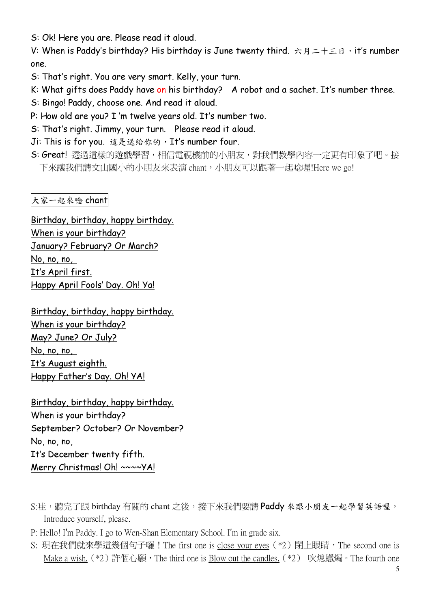S: Ok! Here you are. Please read it aloud.

V: When is Paddy's birthday? His birthday is June twenty third. 六月二十三日, it's number one.

S: That's right. You are very smart. Kelly, your turn.

K: What gifts does Paddy have on his birthday? A robot and a sachet. It's number three.

- S: Bingo! Paddy, choose one. And read it aloud.
- P: How old are you? I 'm twelve years old. It's number two.
- S: That's right. Jimmy, your turn. Please read it aloud.
- Ji: This is for you. 這是送給你的, It's number four.
- S: Great! 透過這樣的遊戲學習,相信電視機前的小朋友,對我們教學內容一定更有印象了吧。接 下來讓我們請文山國小的小朋友來表演 chant,小朋友可以跟著一起唸喔!Here we go!

大家一起來唸 chant

Birthday, birthday, happy birthday. When is your birthday? January? February? Or March?  $No, no, no.$ It's April first. Happy April Fools' Day. Oh! Ya!

Birthday, birthday, happy birthday. When is your birthday? May? June? Or July?  $No, no, no,$ It's August eighth. Happy Father's Day. Oh! YA!

Birthday, birthday, happy birthday. When is your birthday? September? October? Or November?  $No, no, no,$ It's December twenty fifth. Merry Christmas! Oh! ~~~~ YA!

- S:哇,聽完了跟 birthday 有關的 chant 之後, 接下來我們要請 Paddy 來跟小朋友一起學習英語喔, Introduce vourself, please.
- P: Hello! I'm Paddy, I go to Wen-Shan Elementary School, I'm in grade six.
- S: 現在我們就來學這幾個句子囉!The first one is close your eyes (\*2) 閉上眼睛,The second one is Make a wish. (\*2) 許個心願, The third one is Blow out the candles. (\*2) 吹熄蠟燭。The fourth one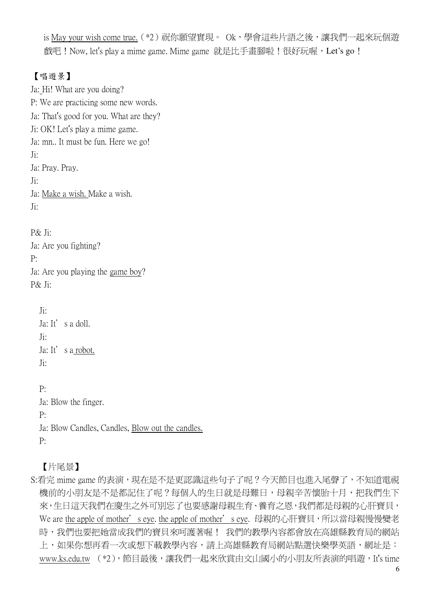is May your wish come true. (\*2) 祝你願望實現。 Ok,學會這些片語之後,讓我們一起來玩個遊 戲吧! Now, let's play a mime game. Mime game 就是比手畫腳啦!很好玩喔, Let's go !

# 【唱遊景】

Ja: Hi! What are you doing? P: We are practicing some new words. Ja: That's good for you. What are they? Ji: OK! Let's play a mime game. Ja: mn.. It must be fun. Here we go!  $J$ i: Ja: Pray. Pray.  $\mathrm{I}$ : Ja: Make a wish. Make a wish.  $J$ i: P& Ji: Ja: Are you fighting?  $P:$ Ja: Are you playing the game boy?  $P\&$  Ji:  $J$ i: Ja: It's a doll.  $J$ i: Ja: It's a robot.  $J$ i:  $P:$ Ja: Blow the finger.  $P^{\cdot}$ Ja: Blow Candles, Candles, Blow out the candles.  $P:$ 

【片尾景】

S:看完 mime game 的表演,現在是不是更認識這些句子了呢?今天節目也進入尾聲了,不知道電視 機前的小朋友是不是都記住了呢?每個人的生日就是母難日,母親辛苦懷胎十月,把我們生下 來,生日這天我們在慶生之外可別忘了也要感謝母親生育、養育之恩,我們都是母親的心肝寶貝, We are the apple of mother' seye. the apple of mother' seye. 母親的心肝寶貝, 所以當母親慢慢變老 時,我們也要把她當成我們的寶貝來呵護著喔! 我們的教學內容都會放在高雄縣教育局的網站 上,如果你想再看一次或想下載教學內容,請上高雄縣教育局網站點選快樂學英語,網址是: www.ks.edu.tw (\*2), 節目最後, 讓我們一起來欣賞由文山國小的小朋友所表演的唱游, It's time